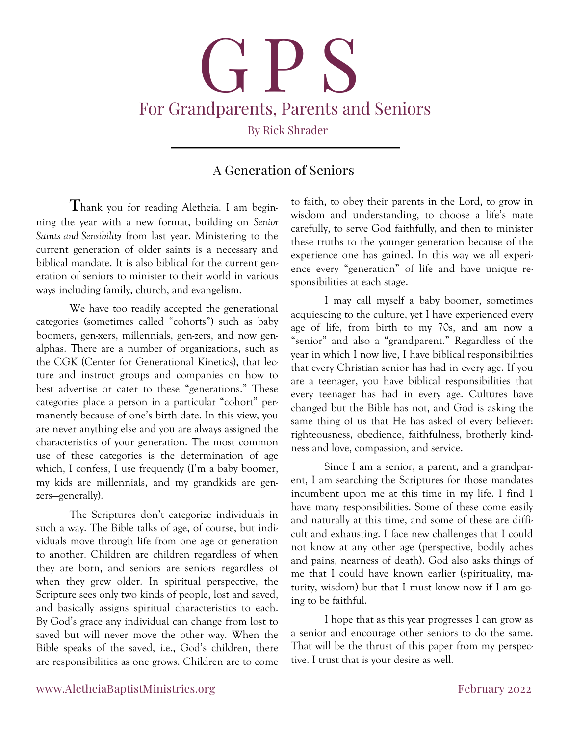# **G P S** For Grandparents, Parents and Seniors By Rick Shrader

# **A Generation of Seniors**

**T**hank you for reading Aletheia. I am beginning the year with a new format, building on *Senior Saints and Sensibility* from last year. Ministering to the current generation of older saints is a necessary and biblical mandate. It is also biblical for the current generation of seniors to minister to their world in various ways including family, church, and evangelism.

 We have too readily accepted the generational categories (sometimes called "cohorts") such as baby boomers, gen-xers, millennials, gen-zers, and now genalphas. There are a number of organizations, such as the CGK (Center for Generational Kinetics), that lecture and instruct groups and companies on how to best advertise or cater to these "generations." These categories place a person in a particular "cohort" permanently because of one's birth date. In this view, you are never anything else and you are always assigned the characteristics of your generation. The most common use of these categories is the determination of age which, I confess, I use frequently (I'm a baby boomer, my kids are millennials, and my grandkids are genzers—generally).

 The Scriptures don't categorize individuals in such a way. The Bible talks of age, of course, but individuals move through life from one age or generation to another. Children are children regardless of when they are born, and seniors are seniors regardless of when they grew older. In spiritual perspective, the Scripture sees only two kinds of people, lost and saved, and basically assigns spiritual characteristics to each. By God's grace any individual can change from lost to saved but will never move the other way. When the Bible speaks of the saved, i.e., God's children, there are responsibilities as one grows. Children are to come

to faith, to obey their parents in the Lord, to grow in wisdom and understanding, to choose a life's mate carefully, to serve God faithfully, and then to minister these truths to the younger generation because of the experience one has gained. In this way we all experience every "generation" of life and have unique responsibilities at each stage.

 I may call myself a baby boomer, sometimes acquiescing to the culture, yet I have experienced every age of life, from birth to my 70s, and am now a "senior" and also a "grandparent." Regardless of the year in which I now live, I have biblical responsibilities that every Christian senior has had in every age. If you are a teenager, you have biblical responsibilities that every teenager has had in every age. Cultures have changed but the Bible has not, and God is asking the same thing of us that He has asked of every believer: righteousness, obedience, faithfulness, brotherly kindness and love, compassion, and service.

 Since I am a senior, a parent, and a grandparent, I am searching the Scriptures for those mandates incumbent upon me at this time in my life. I find I have many responsibilities. Some of these come easily and naturally at this time, and some of these are difficult and exhausting. I face new challenges that I could not know at any other age (perspective, bodily aches and pains, nearness of death). God also asks things of me that I could have known earlier (spirituality, maturity, wisdom) but that I must know now if I am going to be faithful.

 I hope that as this year progresses I can grow as a senior and encourage other seniors to do the same. That will be the thrust of this paper from my perspective. I trust that is your desire as well.